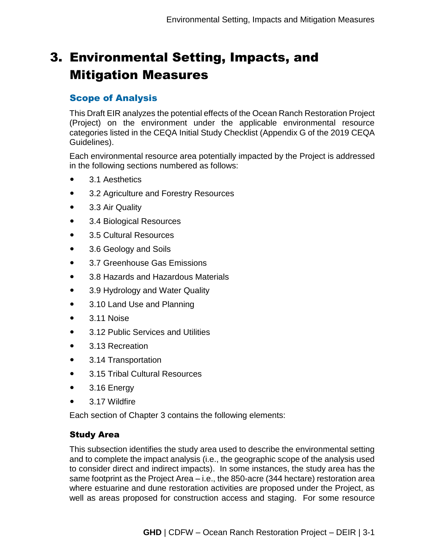# 3. Environmental Setting, Impacts, and Mitigation Measures

## Scope of Analysis

This Draft EIR analyzes the potential effects of the Ocean Ranch Restoration Project (Project) on the environment under the applicable environmental resource categories listed in the CEQA Initial Study Checklist (Appendix G of the 2019 CEQA Guidelines).

Each environmental resource area potentially impacted by the Project is addressed in the following sections numbered as follows:

- 3.1 Aesthetics
- 3.2 Agriculture and Forestry Resources
- 3.3 Air Quality
- 3.4 Biological Resources
- 3.5 Cultural Resources
- 3.6 Geology and Soils
- 3.7 Greenhouse Gas Emissions
- 3.8 Hazards and Hazardous Materials
- 3.9 Hydrology and Water Quality
- 3.10 Land Use and Planning
- $\bullet$  3.11 Noise
- 3.12 Public Services and Utilities
- 3.13 Recreation
- 3.14 Transportation
- 3.15 Tribal Cultural Resources
- 3.16 Energy
- 3.17 Wildfire

Each section of Chapter 3 contains the following elements:

## Study Area

This subsection identifies the study area used to describe the environmental setting and to complete the impact analysis (i.e., the geographic scope of the analysis used to consider direct and indirect impacts). In some instances, the study area has the same footprint as the Project Area – i.e., the 850-acre (344 hectare) restoration area where estuarine and dune restoration activities are proposed under the Project, as well as areas proposed for construction access and staging. For some resource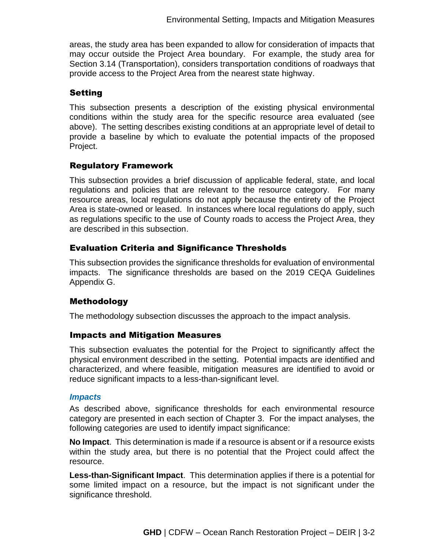areas, the study area has been expanded to allow for consideration of impacts that may occur outside the Project Area boundary. For example, the study area for Section 3.14 (Transportation), considers transportation conditions of roadways that provide access to the Project Area from the nearest state highway.

#### Setting

This subsection presents a description of the existing physical environmental conditions within the study area for the specific resource area evaluated (see above). The setting describes existing conditions at an appropriate level of detail to provide a baseline by which to evaluate the potential impacts of the proposed Project.

## Regulatory Framework

This subsection provides a brief discussion of applicable federal, state, and local regulations and policies that are relevant to the resource category. For many resource areas, local regulations do not apply because the entirety of the Project Area is state-owned or leased. In instances where local regulations do apply, such as regulations specific to the use of County roads to access the Project Area, they are described in this subsection.

## Evaluation Criteria and Significance Thresholds

This subsection provides the significance thresholds for evaluation of environmental impacts. The significance thresholds are based on the 2019 CEQA Guidelines Appendix G.

## Methodology

The methodology subsection discusses the approach to the impact analysis.

## Impacts and Mitigation Measures

This subsection evaluates the potential for the Project to significantly affect the physical environment described in the setting. Potential impacts are identified and characterized, and where feasible, mitigation measures are identified to avoid or reduce significant impacts to a less-than-significant level.

#### *Impacts*

As described above, significance thresholds for each environmental resource category are presented in each section of Chapter 3. For the impact analyses, the following categories are used to identify impact significance:

**No Impact**. This determination is made if a resource is absent or if a resource exists within the study area, but there is no potential that the Project could affect the resource.

**Less-than-Significant Impact**. This determination applies if there is a potential for some limited impact on a resource, but the impact is not significant under the significance threshold.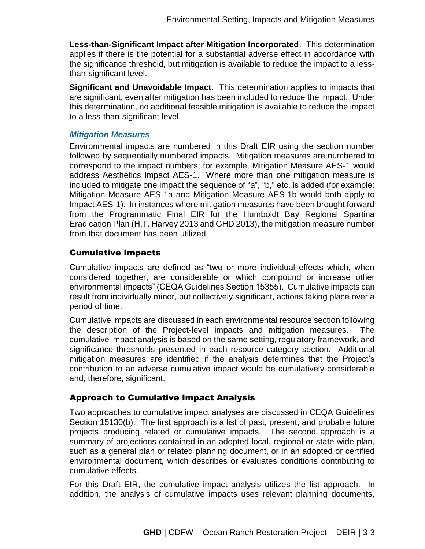**Less-than-Significant Impact after Mitigation Incorporated**. This determination applies if there is the potential for a substantial adverse effect in accordance with the significance threshold, but mitigation is available to reduce the impact to a lessthan-significant level.

**Significant and Unavoidable Impact**. This determination applies to impacts that are significant, even after mitigation has been included to reduce the impact. Under this determination, no additional feasible mitigation is available to reduce the impact to a less-than-significant level.

#### *Mitigation Measures*

Environmental impacts are numbered in this Draft EIR using the section number followed by sequentially numbered impacts. Mitigation measures are numbered to correspond to the impact numbers; for example, Mitigation Measure AES-1 would address Aesthetics Impact AES-1. Where more than one mitigation measure is included to mitigate one impact the sequence of "a", "b," etc. is added (for example: Mitigation Measure AES-1a and Mitigation Measure AES-1b would both apply to Impact AES-1). In instances where mitigation measures have been brought forward from the Programmatic Final EIR for the Humboldt Bay Regional Spartina Eradication Plan (H.T. Harvey 2013 and GHD 2013), the mitigation measure number from that document has been utilized.

#### Cumulative Impacts

Cumulative impacts are defined as "two or more individual effects which, when considered together, are considerable or which compound or increase other environmental impacts" (CEQA Guidelines Section 15355). Cumulative impacts can result from individually minor, but collectively significant, actions taking place over a period of time.

Cumulative impacts are discussed in each environmental resource section following the description of the Project-level impacts and mitigation measures. The cumulative impact analysis is based on the same setting, regulatory framework, and significance thresholds presented in each resource category section. Additional mitigation measures are identified if the analysis determines that the Project's contribution to an adverse cumulative impact would be cumulatively considerable and, therefore, significant.

## Approach to Cumulative Impact Analysis

Two approaches to cumulative impact analyses are discussed in CEQA Guidelines Section 15130(b). The first approach is a list of past, present, and probable future projects producing related or cumulative impacts. The second approach is a summary of projections contained in an adopted local, regional or state-wide plan, such as a general plan or related planning document, or in an adopted or certified environmental document, which describes or evaluates conditions contributing to cumulative effects.

For this Draft EIR, the cumulative impact analysis utilizes the list approach. In addition, the analysis of cumulative impacts uses relevant planning documents,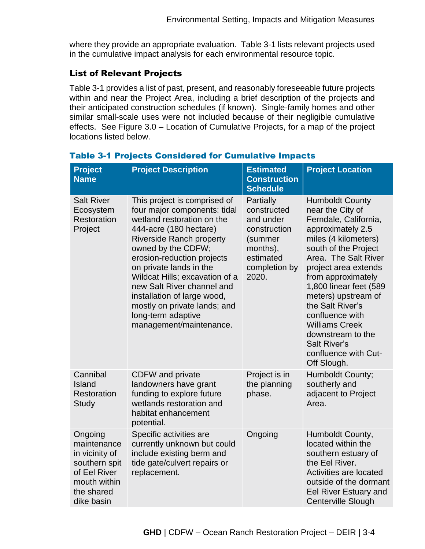where they provide an appropriate evaluation. Table 3-1 lists relevant projects used in the cumulative impact analysis for each environmental resource topic.

### List of Relevant Projects

Table 3-1 provides a list of past, present, and reasonably foreseeable future projects within and near the Project Area, including a brief description of the projects and their anticipated construction schedules (if known). Single-family homes and other similar small-scale uses were not included because of their negligible cumulative effects. See Figure 3.0 – Location of Cumulative Projects, for a map of the project locations listed below.

| <b>Project</b><br><b>Name</b>                                                                                         | <b>Project Description</b>                                                                                                                                                                                                                                                                                                                                                                                             | <b>Estimated</b><br><b>Construction</b><br><b>Schedule</b>                                                          | <b>Project Location</b>                                                                                                                                                                                                                                                                                                                                                                                            |
|-----------------------------------------------------------------------------------------------------------------------|------------------------------------------------------------------------------------------------------------------------------------------------------------------------------------------------------------------------------------------------------------------------------------------------------------------------------------------------------------------------------------------------------------------------|---------------------------------------------------------------------------------------------------------------------|--------------------------------------------------------------------------------------------------------------------------------------------------------------------------------------------------------------------------------------------------------------------------------------------------------------------------------------------------------------------------------------------------------------------|
| <b>Salt River</b><br>Ecosystem<br>Restoration<br>Project                                                              | This project is comprised of<br>four major components: tidal<br>wetland restoration on the<br>444-acre (180 hectare)<br><b>Riverside Ranch property</b><br>owned by the CDFW;<br>erosion-reduction projects<br>on private lands in the<br>Wildcat Hills; excavation of a<br>new Salt River channel and<br>installation of large wood,<br>mostly on private lands; and<br>long-term adaptive<br>management/maintenance. | Partially<br>constructed<br>and under<br>construction<br>(summer<br>months),<br>estimated<br>completion by<br>2020. | <b>Humboldt County</b><br>near the City of<br>Ferndale, California,<br>approximately 2.5<br>miles (4 kilometers)<br>south of the Project<br>Area. The Salt River<br>project area extends<br>from approximately<br>1,800 linear feet (589<br>meters) upstream of<br>the Salt River's<br>confluence with<br><b>Williams Creek</b><br>downstream to the<br><b>Salt River's</b><br>confluence with Cut-<br>Off Slough. |
| Cannibal<br>Island<br>Restoration<br><b>Study</b>                                                                     | <b>CDFW</b> and private<br>landowners have grant<br>funding to explore future<br>wetlands restoration and<br>habitat enhancement<br>potential.                                                                                                                                                                                                                                                                         | Project is in<br>the planning<br>phase.                                                                             | Humboldt County;<br>southerly and<br>adjacent to Project<br>Area.                                                                                                                                                                                                                                                                                                                                                  |
| Ongoing<br>maintenance<br>in vicinity of<br>southern spit<br>of Eel River<br>mouth within<br>the shared<br>dike basin | Specific activities are<br>currently unknown but could<br>include existing berm and<br>tide gate/culvert repairs or<br>replacement.                                                                                                                                                                                                                                                                                    | Ongoing                                                                                                             | Humboldt County,<br>located within the<br>southern estuary of<br>the Eel River.<br>Activities are located<br>outside of the dormant<br><b>Eel River Estuary and</b><br><b>Centerville Slough</b>                                                                                                                                                                                                                   |

## Table 3-1 Projects Considered for Cumulative Impacts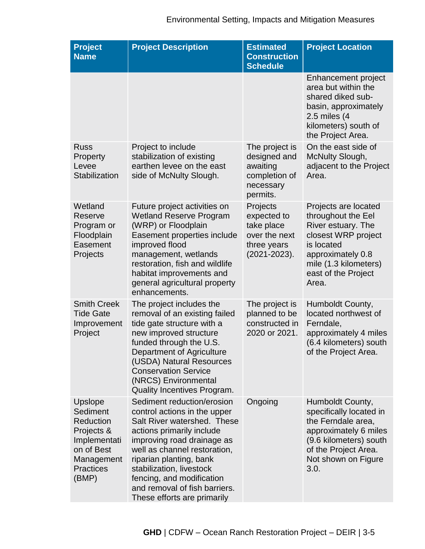# Environmental Setting, Impacts and Mitigation Measures

| <b>Project</b><br><b>Name</b>                                                                                                  | <b>Project Description</b>                                                                                                                                                                                                                                                                                                               | <b>Estimated</b><br><b>Construction</b><br><b>Schedule</b>                                 | <b>Project Location</b>                                                                                                                                                             |
|--------------------------------------------------------------------------------------------------------------------------------|------------------------------------------------------------------------------------------------------------------------------------------------------------------------------------------------------------------------------------------------------------------------------------------------------------------------------------------|--------------------------------------------------------------------------------------------|-------------------------------------------------------------------------------------------------------------------------------------------------------------------------------------|
|                                                                                                                                |                                                                                                                                                                                                                                                                                                                                          |                                                                                            | <b>Enhancement project</b><br>area but within the<br>shared diked sub-<br>basin, approximately<br>2.5 miles (4<br>kilometers) south of<br>the Project Area.                         |
| <b>Russ</b><br>Property<br>Levee<br>Stabilization                                                                              | Project to include<br>stabilization of existing<br>earthen levee on the east<br>side of McNulty Slough.                                                                                                                                                                                                                                  | The project is<br>designed and<br>awaiting<br>completion of<br>necessary<br>permits.       | On the east side of<br>McNulty Slough,<br>adjacent to the Project<br>Area.                                                                                                          |
| Wetland<br>Reserve<br>Program or<br>Floodplain<br>Easement<br>Projects                                                         | Future project activities on<br><b>Wetland Reserve Program</b><br>(WRP) or Floodplain<br>Easement properties include<br>improved flood<br>management, wetlands<br>restoration, fish and wildlife<br>habitat improvements and<br>general agricultural property<br>enhancements.                                                           | Projects<br>expected to<br>take place<br>over the next<br>three years<br>$(2021 - 2023)$ . | Projects are located<br>throughout the Eel<br>River estuary. The<br>closest WRP project<br>is located<br>approximately 0.8<br>mile (1.3 kilometers)<br>east of the Project<br>Area. |
| <b>Smith Creek</b><br><b>Tide Gate</b><br>Improvement<br>Project                                                               | The project includes the<br>removal of an existing failed<br>tide gate structure with a<br>new improved structure<br>funded through the U.S.<br>Department of Agriculture<br>(USDA) Natural Resources<br><b>Conservation Service</b><br>(NRCS) Environmental<br><b>Quality Incentives Program.</b>                                       | The project is<br>planned to be<br>constructed in<br>2020 or 2021.                         | Humboldt County,<br>located northwest of<br>Ferndale,<br>approximately 4 miles<br>(6.4 kilometers) south<br>of the Project Area.                                                    |
| Upslope<br>Sediment<br><b>Reduction</b><br>Projects &<br>Implementati<br>on of Best<br>Management<br><b>Practices</b><br>(BMP) | Sediment reduction/erosion<br>control actions in the upper<br>Salt River watershed. These<br>actions primarily include<br>improving road drainage as<br>well as channel restoration,<br>riparian planting, bank<br>stabilization, livestock<br>fencing, and modification<br>and removal of fish barriers.<br>These efforts are primarily | Ongoing                                                                                    | Humboldt County,<br>specifically located in<br>the Ferndale area,<br>approximately 6 miles<br>(9.6 kilometers) south<br>of the Project Area.<br>Not shown on Figure<br>3.0.         |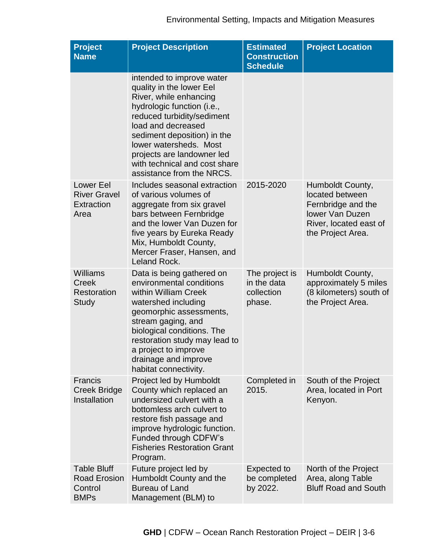| <b>Project</b><br><b>Name</b>                                       | <b>Project Description</b>                                                                                                                                                                                                                                                                                             | <b>Estimated</b><br><b>Construction</b><br><b>Schedule</b> | <b>Project Location</b>                                                                                                     |
|---------------------------------------------------------------------|------------------------------------------------------------------------------------------------------------------------------------------------------------------------------------------------------------------------------------------------------------------------------------------------------------------------|------------------------------------------------------------|-----------------------------------------------------------------------------------------------------------------------------|
|                                                                     | intended to improve water<br>quality in the lower Eel<br>River, while enhancing<br>hydrologic function (i.e.,<br>reduced turbidity/sediment<br>load and decreased<br>sediment deposition) in the<br>lower watersheds. Most<br>projects are landowner led<br>with technical and cost share<br>assistance from the NRCS. |                                                            |                                                                                                                             |
| <b>Lower Eel</b><br><b>River Gravel</b><br>Extraction<br>Area       | Includes seasonal extraction<br>of various volumes of<br>aggregate from six gravel<br>bars between Fernbridge<br>and the lower Van Duzen for<br>five years by Eureka Ready<br>Mix, Humboldt County,<br>Mercer Fraser, Hansen, and<br>Leland Rock.                                                                      | 2015-2020                                                  | Humboldt County,<br>located between<br>Fernbridge and the<br>lower Van Duzen<br>River, located east of<br>the Project Area. |
| <b>Williams</b><br>Creek<br>Restoration<br>Study                    | Data is being gathered on<br>environmental conditions<br>within William Creek<br>watershed including<br>geomorphic assessments,<br>stream gaging, and<br>biological conditions. The<br>restoration study may lead to<br>a project to improve<br>drainage and improve<br>habitat connectivity.                          | The project is<br>in the data<br>collection<br>phase.      | Humboldt County,<br>approximately 5 miles<br>(8 kilometers) south of<br>the Project Area.                                   |
| <b>Francis</b><br><b>Creek Bridge</b><br>Installation               | Project led by Humboldt<br>County which replaced an<br>undersized culvert with a<br>bottomless arch culvert to<br>restore fish passage and<br>improve hydrologic function.<br><b>Funded through CDFW's</b><br><b>Fisheries Restoration Grant</b><br>Program.                                                           | Completed in<br>2015.                                      | South of the Project<br>Area, located in Port<br>Kenyon.                                                                    |
| <b>Table Bluff</b><br><b>Road Erosion</b><br>Control<br><b>BMPs</b> | Future project led by<br>Humboldt County and the<br><b>Bureau of Land</b><br>Management (BLM) to                                                                                                                                                                                                                       | Expected to<br>be completed<br>by 2022.                    | North of the Project<br>Area, along Table<br><b>Bluff Road and South</b>                                                    |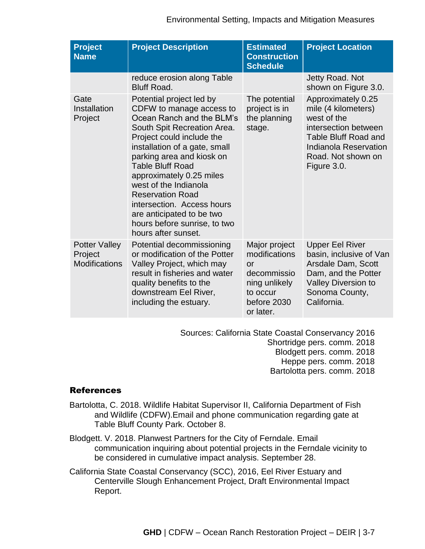| <b>Project</b><br><b>Name</b>                           | <b>Project Description</b>                                                                                                                                                                                                                                                                                                                                                                                                               | <b>Estimated</b><br><b>Construction</b><br><b>Schedule</b>                                                           | <b>Project Location</b>                                                                                                                                                       |
|---------------------------------------------------------|------------------------------------------------------------------------------------------------------------------------------------------------------------------------------------------------------------------------------------------------------------------------------------------------------------------------------------------------------------------------------------------------------------------------------------------|----------------------------------------------------------------------------------------------------------------------|-------------------------------------------------------------------------------------------------------------------------------------------------------------------------------|
|                                                         | reduce erosion along Table<br><b>Bluff Road.</b>                                                                                                                                                                                                                                                                                                                                                                                         |                                                                                                                      | Jetty Road. Not<br>shown on Figure 3.0.                                                                                                                                       |
| Gate<br>Installation<br>Project                         | Potential project led by<br>CDFW to manage access to<br>Ocean Ranch and the BLM's<br>South Spit Recreation Area.<br>Project could include the<br>installation of a gate, small<br>parking area and kiosk on<br><b>Table Bluff Road</b><br>approximately 0.25 miles<br>west of the Indianola<br><b>Reservation Road</b><br>intersection. Access hours<br>are anticipated to be two<br>hours before sunrise, to two<br>hours after sunset. | The potential<br>project is in<br>the planning<br>stage.                                                             | Approximately 0.25<br>mile (4 kilometers)<br>west of the<br>intersection between<br><b>Table Bluff Road and</b><br>Indianola Reservation<br>Road. Not shown on<br>Figure 3.0. |
| <b>Potter Valley</b><br>Project<br><b>Modifications</b> | Potential decommissioning<br>or modification of the Potter<br>Valley Project, which may<br>result in fisheries and water<br>quality benefits to the<br>downstream Eel River,<br>including the estuary.                                                                                                                                                                                                                                   | Major project<br>modifications<br>$\alpha$ r<br>decommissio<br>ning unlikely<br>to occur<br>before 2030<br>or later. | <b>Upper Eel River</b><br>basin, inclusive of Van<br>Arsdale Dam, Scott<br>Dam, and the Potter<br><b>Valley Diversion to</b><br>Sonoma County,<br>California.                 |

Sources: California State Coastal Conservancy 2016 Shortridge pers. comm. 2018 Blodgett pers. comm. 2018 Heppe pers. comm. 2018 Bartolotta pers. comm. 2018

## References

- Bartolotta, C. 2018. Wildlife Habitat Supervisor II, California Department of Fish and Wildlife (CDFW).Email and phone communication regarding gate at Table Bluff County Park. October 8.
- Blodgett. V. 2018. Planwest Partners for the City of Ferndale. Email communication inquiring about potential projects in the Ferndale vicinity to be considered in cumulative impact analysis. September 28.
- California State Coastal Conservancy (SCC), 2016, Eel River Estuary and Centerville Slough Enhancement Project, Draft Environmental Impact Report.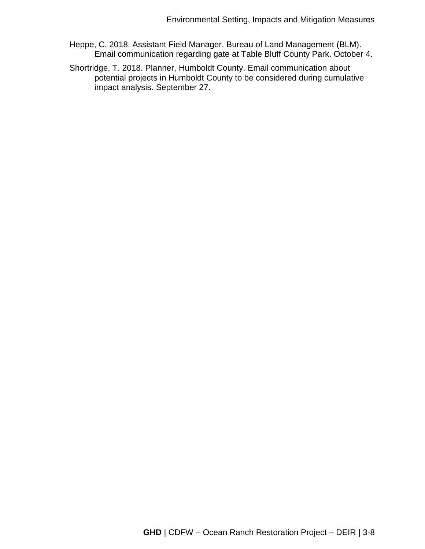- Heppe, C. 2018. Assistant Field Manager, Bureau of Land Management (BLM). Email communication regarding gate at Table Bluff County Park. October 4.
- Shortridge, T. 2018. Planner, Humboldt County. Email communication about potential projects in Humboldt County to be considered during cumulative impact analysis. September 27.